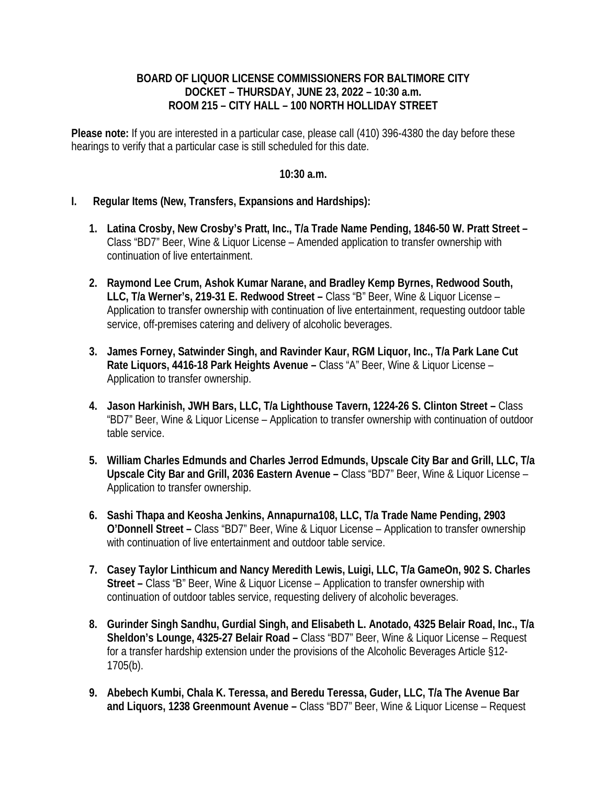## **BOARD OF LIQUOR LICENSE COMMISSIONERS FOR BALTIMORE CITY DOCKET – THURSDAY, JUNE 23, 2022 – 10:30 a.m. ROOM 215 – CITY HALL – 100 NORTH HOLLIDAY STREET**

**Please note:** If you are interested in a particular case, please call (410) 396-4380 the day before these hearings to verify that a particular case is still scheduled for this date.

## **10:30 a.m.**

## **I. Regular Items (New, Transfers, Expansions and Hardships):**

- **1. Latina Crosby, New Crosby's Pratt, Inc., T/a Trade Name Pending, 1846-50 W. Pratt Street**  Class "BD7" Beer, Wine & Liquor License – Amended application to transfer ownership with continuation of live entertainment.
- **2. Raymond Lee Crum, Ashok Kumar Narane, and Bradley Kemp Byrnes, Redwood South, LLC, T/a Werner's, 219-31 E. Redwood Street –** Class "B" Beer, Wine & Liquor License – Application to transfer ownership with continuation of live entertainment, requesting outdoor table service, off-premises catering and delivery of alcoholic beverages.
- **3. James Forney, Satwinder Singh, and Ravinder Kaur, RGM Liquor, Inc., T/a Park Lane Cut Rate Liquors, 4416-18 Park Heights Avenue –** Class "A" Beer, Wine & Liquor License – Application to transfer ownership.
- **4. Jason Harkinish, JWH Bars, LLC, T/a Lighthouse Tavern, 1224-26 S. Clinton Street** Class "BD7" Beer, Wine & Liquor License – Application to transfer ownership with continuation of outdoor table service.
- **5. William Charles Edmunds and Charles Jerrod Edmunds, Upscale City Bar and Grill, LLC, T/a Upscale City Bar and Grill, 2036 Eastern Avenue –** Class "BD7" Beer, Wine & Liquor License – Application to transfer ownership.
- **6. Sashi Thapa and Keosha Jenkins, Annapurna108, LLC, T/a Trade Name Pending, 2903 O'Donnell Street –** Class "BD7" Beer, Wine & Liquor License – Application to transfer ownership with continuation of live entertainment and outdoor table service.
- **7. Casey Taylor Linthicum and Nancy Meredith Lewis, Luigi, LLC, T/a GameOn, 902 S. Charles Street –** Class "B" Beer, Wine & Liquor License – Application to transfer ownership with continuation of outdoor tables service, requesting delivery of alcoholic beverages.
- **8. Gurinder Singh Sandhu, Gurdial Singh, and Elisabeth L. Anotado, 4325 Belair Road, Inc., T/a Sheldon's Lounge, 4325-27 Belair Road –** Class "BD7" Beer, Wine & Liquor License – Request for a transfer hardship extension under the provisions of the Alcoholic Beverages Article §12- 1705(b).
- **9. Abebech Kumbi, Chala K. Teressa, and Beredu Teressa, Guder, LLC, T/a The Avenue Bar and Liquors, 1238 Greenmount Avenue –** Class "BD7" Beer, Wine & Liquor License – Request